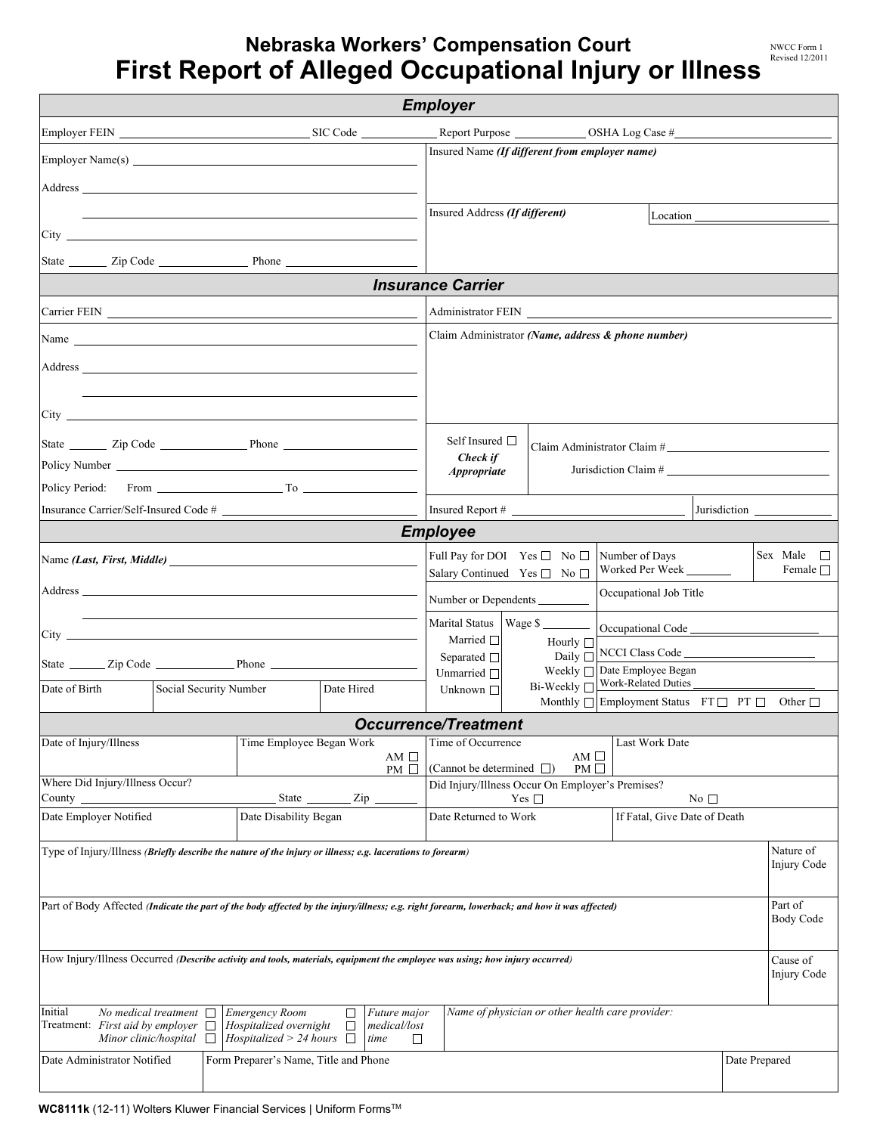# **Nebraska Workers' Compensation Court First Report of Alleged Occupational Injury or Illness**

| NWCC Form 1     |  |
|-----------------|--|
| Revised 12/2011 |  |

| <b>Employer</b>                                                                                                                                                                                                                |                                                                                                                                                                                                                                              |                                                            |                                                            |                                                                                                  |                                                                      |                                                 |                      |                                     |  |  |
|--------------------------------------------------------------------------------------------------------------------------------------------------------------------------------------------------------------------------------|----------------------------------------------------------------------------------------------------------------------------------------------------------------------------------------------------------------------------------------------|------------------------------------------------------------|------------------------------------------------------------|--------------------------------------------------------------------------------------------------|----------------------------------------------------------------------|-------------------------------------------------|----------------------|-------------------------------------|--|--|
|                                                                                                                                                                                                                                |                                                                                                                                                                                                                                              |                                                            |                                                            |                                                                                                  |                                                                      |                                                 |                      |                                     |  |  |
| Employer Name(s)                                                                                                                                                                                                               |                                                                                                                                                                                                                                              |                                                            | Insured Name (If different from employer name)             |                                                                                                  |                                                                      |                                                 |                      |                                     |  |  |
| Address and the contract of the contract of the contract of the contract of the contract of the contract of the contract of the contract of the contract of the contract of the contract of the contract of the contract of th |                                                                                                                                                                                                                                              |                                                            |                                                            |                                                                                                  |                                                                      |                                                 |                      |                                     |  |  |
|                                                                                                                                                                                                                                |                                                                                                                                                                                                                                              | <u> 1989 - Johann Barn, fransk politik (d. 1989)</u>       |                                                            |                                                                                                  |                                                                      |                                                 |                      |                                     |  |  |
|                                                                                                                                                                                                                                | Insured Address (If different)                                                                                                                                                                                                               |                                                            |                                                            |                                                                                                  |                                                                      |                                                 |                      |                                     |  |  |
|                                                                                                                                                                                                                                |                                                                                                                                                                                                                                              |                                                            |                                                            |                                                                                                  |                                                                      |                                                 |                      |                                     |  |  |
| <b>Insurance Carrier</b>                                                                                                                                                                                                       |                                                                                                                                                                                                                                              |                                                            |                                                            |                                                                                                  |                                                                      |                                                 |                      |                                     |  |  |
|                                                                                                                                                                                                                                |                                                                                                                                                                                                                                              |                                                            |                                                            |                                                                                                  |                                                                      |                                                 |                      |                                     |  |  |
|                                                                                                                                                                                                                                | Administrator FEIN<br>Claim Administrator (Name, address & phone number)                                                                                                                                                                     |                                                            |                                                            |                                                                                                  |                                                                      |                                                 |                      |                                     |  |  |
|                                                                                                                                                                                                                                |                                                                                                                                                                                                                                              |                                                            |                                                            |                                                                                                  |                                                                      |                                                 |                      |                                     |  |  |
|                                                                                                                                                                                                                                |                                                                                                                                                                                                                                              |                                                            |                                                            |                                                                                                  |                                                                      |                                                 |                      |                                     |  |  |
|                                                                                                                                                                                                                                |                                                                                                                                                                                                                                              |                                                            |                                                            |                                                                                                  |                                                                      |                                                 |                      |                                     |  |  |
|                                                                                                                                                                                                                                |                                                                                                                                                                                                                                              |                                                            |                                                            |                                                                                                  |                                                                      |                                                 |                      |                                     |  |  |
|                                                                                                                                                                                                                                |                                                                                                                                                                                                                                              |                                                            | Self Insured $\Box$<br>Check if                            |                                                                                                  |                                                                      |                                                 |                      |                                     |  |  |
|                                                                                                                                                                                                                                |                                                                                                                                                                                                                                              |                                                            |                                                            | <b>Appropriate</b>                                                                               |                                                                      |                                                 | Jurisdiction Claim # |                                     |  |  |
| Policy Period:                                                                                                                                                                                                                 |                                                                                                                                                                                                                                              | From $\qquad \qquad$ To $\qquad \qquad$ To $\qquad \qquad$ |                                                            |                                                                                                  |                                                                      |                                                 |                      |                                     |  |  |
|                                                                                                                                                                                                                                |                                                                                                                                                                                                                                              |                                                            | <b>Employee</b>                                            |                                                                                                  |                                                                      |                                                 |                      |                                     |  |  |
|                                                                                                                                                                                                                                |                                                                                                                                                                                                                                              |                                                            |                                                            | Full Pay for DOI Yes $\Box$ No $\Box$<br>Number of Days<br>Salary Continued Yes $\Box$ No $\Box$ |                                                                      |                                                 | Worked Per Week      | Sex Male $\square$<br>Female $\Box$ |  |  |
|                                                                                                                                                                                                                                |                                                                                                                                                                                                                                              |                                                            |                                                            |                                                                                                  |                                                                      | Occupational Job Title                          |                      |                                     |  |  |
|                                                                                                                                                                                                                                |                                                                                                                                                                                                                                              |                                                            | Marital Status                                             | Number or Dependents<br>Wage \$                                                                  |                                                                      |                                                 |                      |                                     |  |  |
|                                                                                                                                                                                                                                |                                                                                                                                                                                                                                              |                                                            | Married $\Box$                                             |                                                                                                  | Hourly $\Box$                                                        | Occupational Code                               |                      |                                     |  |  |
|                                                                                                                                                                                                                                |                                                                                                                                                                                                                                              |                                                            | Daily $\square$<br>Separated $\Box$<br>Unmarried $\square$ |                                                                                                  |                                                                      | NCCI Class Code<br>Weekly □ Date Employee Began |                      |                                     |  |  |
| Social Security Number<br>Date of Birth<br>Date Hired                                                                                                                                                                          |                                                                                                                                                                                                                                              | Unknown $\Box$                                             |                                                            |                                                                                                  | Bi-Weekly [Nork-Related Duties]                                      |                                                 |                      |                                     |  |  |
|                                                                                                                                                                                                                                |                                                                                                                                                                                                                                              |                                                            |                                                            |                                                                                                  | Monthly $\Box$ Employment Status FT $\Box$ PT $\Box$<br>Other $\Box$ |                                                 |                      |                                     |  |  |
| Date of Injury/Illness                                                                                                                                                                                                         |                                                                                                                                                                                                                                              | Time Employee Began Work                                   | <b>Occurrence/Treatment</b><br>Time of Occurrence          |                                                                                                  |                                                                      | Last Work Date                                  |                      |                                     |  |  |
|                                                                                                                                                                                                                                |                                                                                                                                                                                                                                              | AM $\Box$<br>PM □                                          | am I                                                       |                                                                                                  |                                                                      |                                                 |                      |                                     |  |  |
| Where Did Injury/Illness Occur?                                                                                                                                                                                                | (Cannot be determined $\Box$ )<br>$PM \Box$<br>Did Injury/Illness Occur On Employer's Premises?                                                                                                                                              |                                                            |                                                            |                                                                                                  |                                                                      |                                                 |                      |                                     |  |  |
| County<br>Date Employer Notified                                                                                                                                                                                               | $No$ $\Box$<br>Yes $\Box$<br>Date Returned to Work<br>If Fatal, Give Date of Death                                                                                                                                                           |                                                            |                                                            |                                                                                                  |                                                                      |                                                 |                      |                                     |  |  |
| Date Disability Began                                                                                                                                                                                                          |                                                                                                                                                                                                                                              |                                                            |                                                            |                                                                                                  |                                                                      |                                                 |                      |                                     |  |  |
| Nature of<br>Type of Injury/Illness (Briefly describe the nature of the injury or illness; e.g. lacerations to forearm)                                                                                                        |                                                                                                                                                                                                                                              |                                                            |                                                            |                                                                                                  |                                                                      |                                                 |                      | Injury Code                         |  |  |
| Part of Body Affected <i>(Indicate the part of the body affected by the injury/illness; e.g. right forearm, lowerback; and how it was affected)</i>                                                                            |                                                                                                                                                                                                                                              |                                                            |                                                            |                                                                                                  |                                                                      |                                                 | Part of<br>Body Code |                                     |  |  |
| How Injury/Illness Occurred (Describe activity and tools, materials, equipment the employee was using; how injury occurred)                                                                                                    |                                                                                                                                                                                                                                              |                                                            |                                                            |                                                                                                  |                                                                      |                                                 |                      | Cause of<br>Injury Code             |  |  |
| Initial<br>No medical treatment<br>Treatment: <i>First aid by employer</i><br>Minor clinic/hospital                                                                                                                            | <b>Emergency Room</b><br>Name of physician or other health care provider:<br>Future major<br>$\Box$<br>$\Box$<br>Hospitalized overnight<br>medical/lost<br>$\Box$<br>$\Box$<br>Hospitalized > 24 hours<br>$\Box$<br>$\Box$<br>time<br>$\Box$ |                                                            |                                                            |                                                                                                  |                                                                      |                                                 |                      |                                     |  |  |
| Date Administrator Notified                                                                                                                                                                                                    |                                                                                                                                                                                                                                              | Form Preparer's Name, Title and Phone                      |                                                            |                                                                                                  |                                                                      |                                                 |                      | Date Prepared                       |  |  |